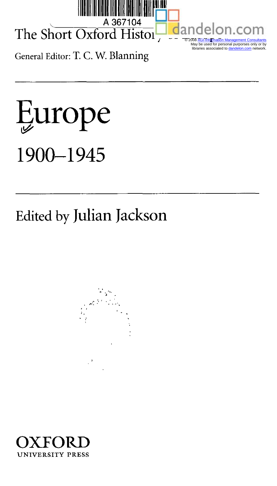

## A 367 The Short Oxford Histor

General Editor: T. C. W. Blanning



## Edited by Julian Jackson





 © 2008 AGI-Information Management Consultants May be used for personal purporses only or by libraries associated to dandelon.com network.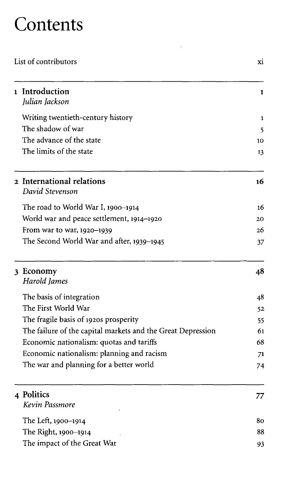## **Contents**

| List of contributors |                                                             | xi |
|----------------------|-------------------------------------------------------------|----|
|                      | 1 Introduction<br>Julian Jackson                            | 1  |
|                      | Writing twentieth-century history                           | 1  |
|                      | The shadow of war                                           | 5  |
|                      | The advance of the state                                    | 10 |
|                      | The limits of the state                                     | 13 |
|                      | 2 International relations<br>David Stevenson                | 16 |
|                      | The road to World War I, 1900–1914                          | 16 |
|                      | World war and peace settlement, 1914–1920                   | 20 |
|                      | From war to war, 1920–1939                                  | 26 |
|                      | The Second World War and after, 1939–1945                   | 37 |
|                      | 3 Economy<br>Harold James                                   | 48 |
|                      | The basis of integration                                    | 48 |
|                      | The First World War                                         | 52 |
|                      | The fragile basis of 1920s prosperity                       | 55 |
|                      | The failure of the capital markets and the Great Depression | 61 |
|                      | Economic nationalism: quotas and tariffs                    | 68 |
|                      | Economic nationalism: planning and racism                   | 71 |
|                      | The war and planning for a better world                     | 74 |
|                      | 4 Politics<br>Kevin Passmore                                | 77 |
|                      | The Left, 1900–1914                                         | 80 |
|                      | The Right, 1900-1914                                        | 88 |
|                      | The impact of the Great War                                 | 93 |

 $\zeta$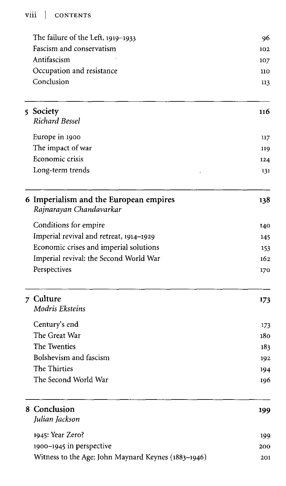## viii | CONTENTS

|  | The failure of the Left, 1919-1933                                | 96         |
|--|-------------------------------------------------------------------|------------|
|  | Fascism and conservatism                                          | 102        |
|  | Antifascism                                                       | 107        |
|  | Occupation and resistance                                         | 110        |
|  | Conclusion                                                        | 113        |
|  | 5 Society<br>Richard Bessel                                       | 116        |
|  | Europe in 1900                                                    | 117        |
|  | The impact of war                                                 | 119        |
|  | Economic crisis                                                   | 124        |
|  | Long-term trends                                                  | 131        |
|  | 6 Imperialism and the European empires<br>Rajnarayan Chandavarkar | 138        |
|  | Conditions for empire                                             | 140        |
|  | Imperial revival and retreat, 1914-1929                           | 145        |
|  | Economic crises and imperial solutions                            | 153        |
|  | Imperial revival: the Second World War                            | 162        |
|  | Perspectives                                                      | 170        |
|  | 7 Culture<br>Modris Eksteins                                      | 173        |
|  | Century's end                                                     | 173        |
|  | The Great War                                                     | 180        |
|  | The Twenties                                                      | 183        |
|  | Bolshevism and fascism                                            | 192        |
|  | The Thirties                                                      | 194        |
|  | The Second World War                                              | 196        |
|  | 8 Conclusion<br>Julian Jackson                                    | 199        |
|  | 1945: Year Zero?                                                  |            |
|  | 1900-1945 in perspective                                          | 199<br>200 |
|  | Witness to the Age: John Maynard Keynes (1883-1946)               | 201        |
|  |                                                                   |            |